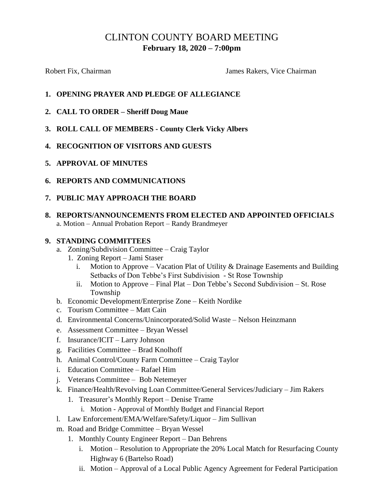# CLINTON COUNTY BOARD MEETING **February 18, 2020 – 7:00pm**

Robert Fix, Chairman **Fix, Chairman** James Rakers, Vice Chairman

## **1. OPENING PRAYER AND PLEDGE OF ALLEGIANCE**

- **2. CALL TO ORDER – Sheriff Doug Maue**
- **3. ROLL CALL OF MEMBERS - County Clerk Vicky Albers**
- **4. RECOGNITION OF VISITORS AND GUESTS**
- **5. APPROVAL OF MINUTES**
- **6. REPORTS AND COMMUNICATIONS**
- **7. PUBLIC MAY APPROACH THE BOARD**
- **8. REPORTS/ANNOUNCEMENTS FROM ELECTED AND APPOINTED OFFICIALS** a. Motion – Annual Probation Report – Randy Brandmeyer

#### **9. STANDING COMMITTEES**

- a. Zoning/Subdivision Committee Craig Taylor
	- 1. Zoning Report Jami Staser
		- i. Motion to Approve Vacation Plat of Utility  $\&$  Drainage Easements and Building Setbacks of Don Tebbe's First Subdivision - St Rose Township
		- ii. Motion to Approve Final Plat Don Tebbe's Second Subdivision St. Rose Township
- b. Economic Development/Enterprise Zone Keith Nordike
- c. Tourism Committee Matt Cain
- d. Environmental Concerns/Unincorporated/Solid Waste Nelson Heinzmann
- e. Assessment Committee Bryan Wessel
- f. Insurance/ICIT Larry Johnson
- g. Facilities Committee Brad Knolhoff
- h. Animal Control/County Farm Committee Craig Taylor
- i. Education Committee Rafael Him
- j. Veterans Committee Bob Netemeyer
- k. Finance/Health/Revolving Loan Committee/General Services/Judiciary Jim Rakers
	- 1. Treasurer's Monthly Report Denise Trame
		- i. Motion Approval of Monthly Budget and Financial Report
- l. Law Enforcement/EMA/Welfare/Safety/Liquor Jim Sullivan
- m. Road and Bridge Committee Bryan Wessel
	- 1. Monthly County Engineer Report Dan Behrens
		- i. Motion Resolution to Appropriate the 20% Local Match for Resurfacing County Highway 6 (Bartelso Road)
		- ii. Motion Approval of a Local Public Agency Agreement for Federal Participation